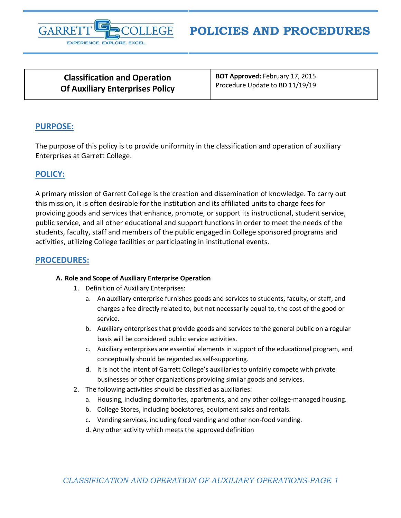

# **POLICIES AND PROCEDURES**

**Classification and Operation Of Auxiliary Enterprises Policy** **BOT Approved:** February 17, 2015 Procedure Update to BD 11/19/19.

## **PURPOSE:**

The purpose of this policy is to provide uniformity in the classification and operation of auxiliary Enterprises at Garrett College.

# **POLICY:**

A primary mission of Garrett College is the creation and dissemination of knowledge. To carry out this mission, it is often desirable for the institution and its affiliated units to charge fees for providing goods and services that enhance, promote, or support its instructional, student service, public service, and all other educational and support functions in order to meet the needs of the students, faculty, staff and members of the public engaged in College sponsored programs and activities, utilizing College facilities or participating in institutional events.

## **PROCEDURES:**

## **A. Role and Scope of Auxiliary Enterprise Operation**

- 1. Definition of Auxiliary Enterprises:
	- a. An auxiliary enterprise furnishes goods and services to students, faculty, or staff, and charges a fee directly related to, but not necessarily equal to, the cost of the good or service.
	- b. Auxiliary enterprises that provide goods and services to the general public on a regular basis will be considered public service activities.
	- c. Auxiliary enterprises are essential elements in support of the educational program, and conceptually should be regarded as self-supporting.
	- d. It is not the intent of Garrett College's auxiliaries to unfairly compete with private businesses or other organizations providing similar goods and services.
- 2. The following activities should be classified as auxiliaries:
	- a. Housing, including dormitories, apartments, and any other college-managed housing.
	- b. College Stores, including bookstores, equipment sales and rentals.
	- c. Vending services, including food vending and other non-food vending.
	- d. Any other activity which meets the approved definition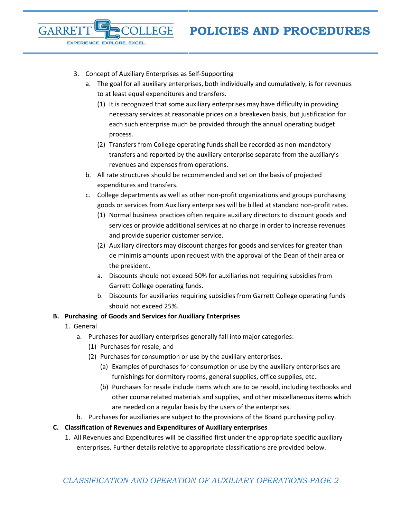3. Concept of Auxiliary Enterprises as Self-Supporting

**ILEGE** 

EXPERIENCE. EXPLORE. EXCEL.

- a. The goal for all auxiliary enterprises, both individually and cumulatively, is for revenues to at least equal expenditures and transfers.
	- (1) It is recognized that some auxiliary enterprises may have difficulty in providing necessary services at reasonable prices on a breakeven basis, but justification for each such enterprise much be provided through the annual operating budget process.
	- (2) Transfers from College operating funds shall be recorded as non-mandatory transfers and reported by the auxiliary enterprise separate from the auxiliary's revenues and expenses from operations.
- b. All rate structures should be recommended and set on the basis of projected expenditures and transfers.
- c. College departments as well as other non-profit organizations and groups purchasing goods or services from Auxiliary enterprises will be billed at standard non-profit rates.
	- (1) Normal business practices often require auxiliary directors to discount goods and services or provide additional services at no charge in order to increase revenues and provide superior customer service.
	- (2) Auxiliary directors may discount charges for goods and services for greater than de minimis amounts upon request with the approval of the Dean of their area or the president.
	- a. Discounts should not exceed 50% for auxiliaries not requiring subsidies from Garrett College operating funds.
	- b. Discounts for auxiliaries requiring subsidies from Garrett College operating funds should not exceed 25%.

## **B. Purchasing of Goods and Services for Auxiliary Enterprises**

1. General

GARRE

- a. Purchases for auxiliary enterprises generally fall into major categories:
	- (1) Purchases for resale; and
	- (2) Purchases for consumption or use by the auxiliary enterprises.
		- (a) Examples of purchases for consumption or use by the auxiliary enterprises are furnishings for dormitory rooms, general supplies, office supplies, etc.
		- (b) Purchases for resale include items which are to be resold, including textbooks and other course related materials and supplies, and other miscellaneous items which are needed on a regular basis by the users of the enterprises.
- b. Purchases for auxiliaries are subject to the provisions of the Board purchasing policy.

#### **C. Classification of Revenues and Expenditures of Auxiliary enterprises**

1. All Revenues and Expenditures will be classified first under the appropriate specific auxiliary enterprises. Further details relative to appropriate classifications are provided below.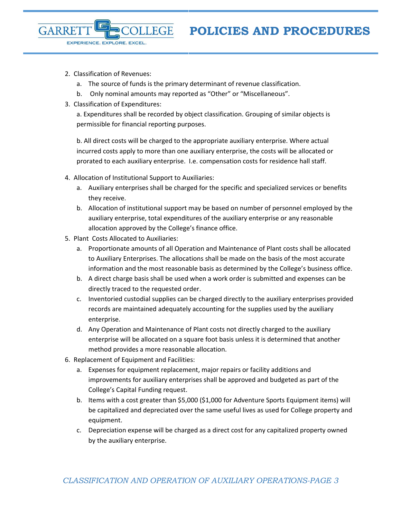2. Classification of Revenues:

EXPERIENCE. EXPLORE. EXCEL.

**GARRE** 

- a. The source of funds is the primary determinant of revenue classification.
- b. Only nominal amounts may reported as "Other" or "Miscellaneous".

**ILLEGE** 

3. Classification of Expenditures:

a. Expenditures shall be recorded by object classification. Grouping of similar objects is permissible for financial reporting purposes.

b. All direct costs will be charged to the appropriate auxiliary enterprise. Where actual incurred costs apply to more than one auxiliary enterprise, the costs will be allocated or prorated to each auxiliary enterprise. I.e. compensation costs for residence hall staff.

- 4. Allocation of Institutional Support to Auxiliaries:
	- a. Auxiliary enterprises shall be charged for the specific and specialized services or benefits they receive.
	- b. Allocation of institutional support may be based on number of personnel employed by the auxiliary enterprise, total expenditures of the auxiliary enterprise or any reasonable allocation approved by the College's finance office.
- 5. Plant Costs Allocated to Auxiliaries:
	- a. Proportionate amounts of all Operation and Maintenance of Plant costs shall be allocated to Auxiliary Enterprises. The allocations shall be made on the basis of the most accurate information and the most reasonable basis as determined by the College's business office.
	- b. A direct charge basis shall be used when a work order is submitted and expenses can be directly traced to the requested order.
	- c. Inventoried custodial supplies can be charged directly to the auxiliary enterprises provided records are maintained adequately accounting for the supplies used by the auxiliary enterprise.
	- d. Any Operation and Maintenance of Plant costs not directly charged to the auxiliary enterprise will be allocated on a square foot basis unless it is determined that another method provides a more reasonable allocation.
- 6. Replacement of Equipment and Facilities:
	- a. Expenses for equipment replacement, major repairs or facility additions and improvements for auxiliary enterprises shall be approved and budgeted as part of the College's Capital Funding request.
	- b. Items with a cost greater than \$5,000 (\$1,000 for Adventure Sports Equipment items) will be capitalized and depreciated over the same useful lives as used for College property and equipment.
	- c. Depreciation expense will be charged as a direct cost for any capitalized property owned by the auxiliary enterprise.